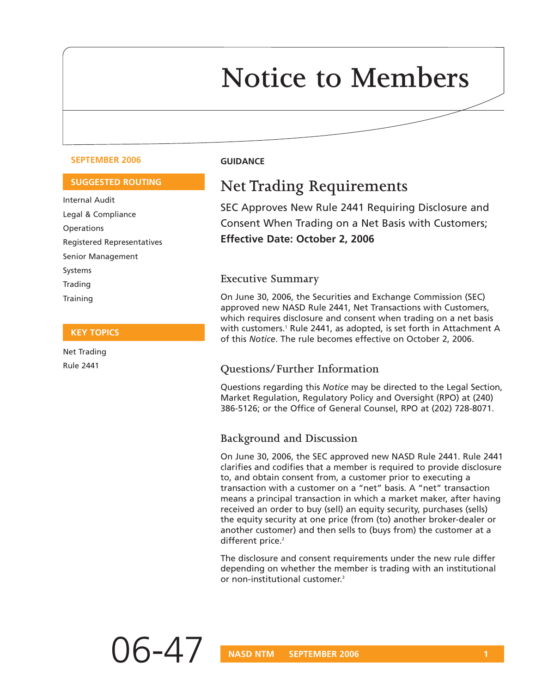# **Notice to Members**

#### **SEPTEMBER 2006 GUIDANCE**

#### **SUGGESTED ROUTING**

Internal Audit Legal & Compliance **Operations** Registered Representatives Senior Management Systems Trading **Training** 

#### **KEY TOPICS**

Net Trading Rule 2441

# **Net Trading Requirements**

SEC Approves New Rule 2441 Requiring Disclosure and Consent When Trading on a Net Basis with Customers; **Effective Date: October 2, 2006**

#### **Executive Summary**

On June 30, 2006, the Securities and Exchange Commission (SEC) approved new NASD Rule 2441, Net Transactions with Customers, which requires disclosure and consent when trading on a net basis with customers.<sup>1</sup> Rule 2441, as adopted, is set forth in Attachment A of this *Notice*. The rule becomes effective on October 2, 2006.

#### **Questions/Further Information**

Questions regarding this *Notice* may be directed to the Legal Section, Market Regulation, Regulatory Policy and Oversight (RPO) at (240) 386-5126; or the Office of General Counsel, RPO at (202) 728-8071.

#### **Background and Discussion**

On June 30, 2006, the SEC approved new NASD Rule 2441. Rule 2441 clarifies and codifies that a member is required to provide disclosure to, and obtain consent from, a customer prior to executing a transaction with a customer on a "net" basis. A "net" transaction means a principal transaction in which a market maker, after having received an order to buy (sell) an equity security, purchases (sells) the equity security at one price (from (to) another broker-dealer or another customer) and then sells to (buys from) the customer at a different price.<sup>2</sup>

The disclosure and consent requirements under the new rule differ depending on whether the member is trading with an institutional or non-institutional customer.3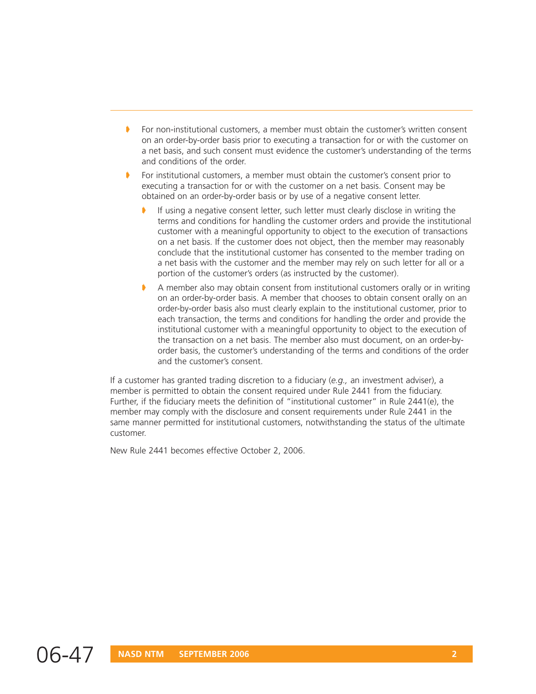- For non-institutional customers, a member must obtain the customer's written consent on an order-by-order basis prior to executing a transaction for or with the customer on a net basis, and such consent must evidence the customer's understanding of the terms and conditions of the order.
- For institutional customers, a member must obtain the customer's consent prior to executing a transaction for or with the customer on a net basis. Consent may be obtained on an order-by-order basis or by use of a negative consent letter.
	- ➧ If using a negative consent letter, such letter must clearly disclose in writing the terms and conditions for handling the customer orders and provide the institutional customer with a meaningful opportunity to object to the execution of transactions on a net basis. If the customer does not object, then the member may reasonably conclude that the institutional customer has consented to the member trading on a net basis with the customer and the member may rely on such letter for all or a portion of the customer's orders (as instructed by the customer).
	- A member also may obtain consent from institutional customers orally or in writing on an order-by-order basis. A member that chooses to obtain consent orally on an order-by-order basis also must clearly explain to the institutional customer, prior to each transaction, the terms and conditions for handling the order and provide the institutional customer with a meaningful opportunity to object to the execution of the transaction on a net basis. The member also must document, on an order-byorder basis, the customer's understanding of the terms and conditions of the order and the customer's consent.

If a customer has granted trading discretion to a fiduciary (*e.g.,* an investment adviser), a member is permitted to obtain the consent required under Rule 2441 from the fiduciary. Further, if the fiduciary meets the definition of "institutional customer" in Rule 2441(e), the member may comply with the disclosure and consent requirements under Rule 2441 in the same manner permitted for institutional customers, notwithstanding the status of the ultimate customer.

New Rule 2441 becomes effective October 2, 2006.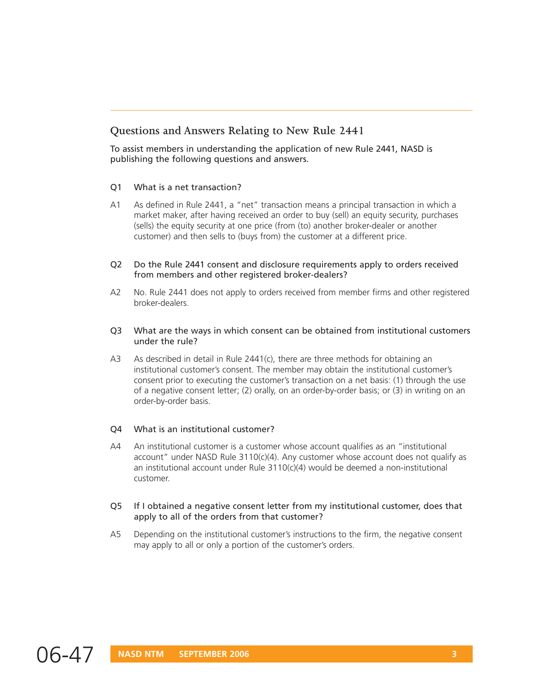### **Questions and Answers Relating to New Rule 2441**

To assist members in understanding the application of new Rule 2441, NASD is publishing the following questions and answers.

#### Q1 What is a net transaction?

- A1 As defined in Rule 2441, a "net" transaction means a principal transaction in which a market maker, after having received an order to buy (sell) an equity security, purchases (sells) the equity security at one price (from (to) another broker-dealer or another customer) and then sells to (buys from) the customer at a different price.
- Q2 Do the Rule 2441 consent and disclosure requirements apply to orders received from members and other registered broker-dealers?
- A2 No. Rule 2441 does not apply to orders received from member firms and other registered broker-dealers.
- Q3 What are the ways in which consent can be obtained from institutional customers under the rule?
- A3 As described in detail in Rule 2441(c), there are three methods for obtaining an institutional customer's consent. The member may obtain the institutional customer's consent prior to executing the customer's transaction on a net basis: (1) through the use of a negative consent letter; (2) orally, on an order-by-order basis; or (3) in writing on an order-by-order basis.

#### Q4 What is an institutional customer?

- A4 An institutional customer is a customer whose account qualifies as an "institutional account" under NASD Rule 3110(c)(4). Any customer whose account does not qualify as an institutional account under Rule  $3110(c)(4)$  would be deemed a non-institutional customer.
- Q5 If I obtained a negative consent letter from my institutional customer, does that apply to all of the orders from that customer?
- A5 Depending on the institutional customer's instructions to the firm, the negative consent may apply to all or only a portion of the customer's orders.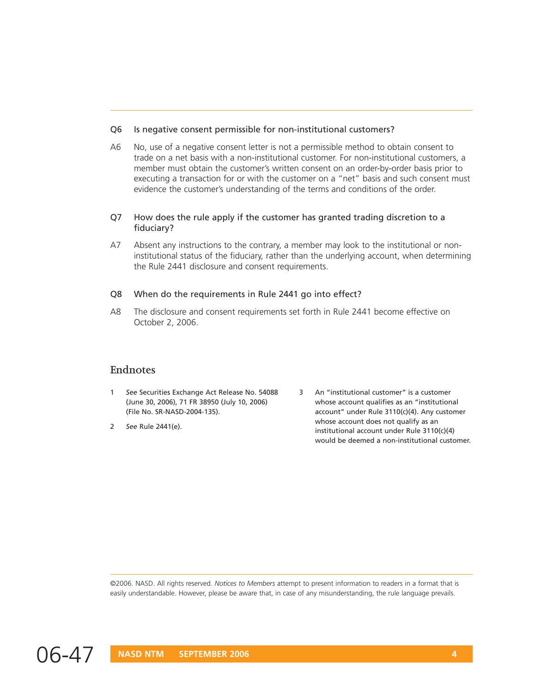#### Q6 Is negative consent permissible for non-institutional customers?

A6 No, use of a negative consent letter is not a permissible method to obtain consent to trade on a net basis with a non-institutional customer. For non-institutional customers, a member must obtain the customer's written consent on an order-by-order basis prior to executing a transaction for or with the customer on a "net" basis and such consent must evidence the customer's understanding of the terms and conditions of the order.

#### Q7 How does the rule apply if the customer has granted trading discretion to a fiduciary?

A7 Absent any instructions to the contrary, a member may look to the institutional or noninstitutional status of the fiduciary, rather than the underlying account, when determining the Rule 2441 disclosure and consent requirements.

#### Q8 When do the requirements in Rule 2441 go into effect?

A8 The disclosure and consent requirements set forth in Rule 2441 become effective on October 2, 2006.

#### **Endnotes**

- (June 30, 2006), 71 FR 38950 (July 10, 2006) (File No. SR-NASD-2004-135).
- 2 *See* Rule 2441(e).
- 1 See Securities Exchange Act Release No. 54088 An "Institutional customer" is a customer<br>
(June 30, 2006), 71 FR 38950 (July 10, 2006)<br>
whose account qualifies as an "institutional"<br>
account" under Rule 3110(c)(4). Any cu 3 An "institutional customer" is a customer whose account qualifies as an "institutional account" under Rule 3110(c)(4). Any customer whose account does not qualify as an institutional account under Rule 3110(c)(4) would be deemed a non-institutional customer.

©2006. NASD. All rights reserved. *Notices to Members* attempt to present information to readers in a format that is easily understandable. However, please be aware that, in case of any misunderstanding, the rule language prevails.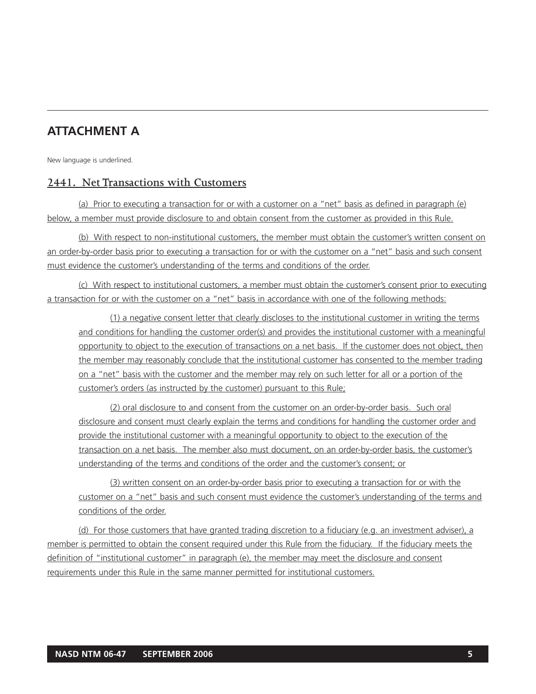## **ATTACHMENT A**

New language is underlined.

### **2441. Net Transactions with Customers**

(a) Prior to executing a transaction for or with a customer on a "net" basis as defined in paragraph (e) below, a member must provide disclosure to and obtain consent from the customer as provided in this Rule.

(b) With respect to non-institutional customers, the member must obtain the customer's written consent on an order-by-order basis prior to executing a transaction for or with the customer on a "net" basis and such consent must evidence the customer's understanding of the terms and conditions of the order.

(c) With respect to institutional customers, a member must obtain the customer's consent prior to executing a transaction for or with the customer on a "net" basis in accordance with one of the following methods:

(1) a negative consent letter that clearly discloses to the institutional customer in writing the terms and conditions for handling the customer order(s) and provides the institutional customer with a meaningful opportunity to object to the execution of transactions on a net basis. If the customer does not object, then the member may reasonably conclude that the institutional customer has consented to the member trading on a "net" basis with the customer and the member may rely on such letter for all or a portion of the customer's orders (as instructed by the customer) pursuant to this Rule;

(2) oral disclosure to and consent from the customer on an order-by-order basis. Such oral disclosure and consent must clearly explain the terms and conditions for handling the customer order and provide the institutional customer with a meaningful opportunity to object to the execution of the transaction on a net basis. The member also must document, on an order-by-order basis, the customer's understanding of the terms and conditions of the order and the customer's consent; or

(3) written consent on an order-by-order basis prior to executing a transaction for or with the customer on a "net" basis and such consent must evidence the customer's understanding of the terms and conditions of the order.

(d) For those customers that have granted trading discretion to a fiduciary (e.g. an investment adviser), a member is permitted to obtain the consent required under this Rule from the fiduciary. If the fiduciary meets the definition of "institutional customer" in paragraph (e), the member may meet the disclosure and consent requirements under this Rule in the same manner permitted for institutional customers.